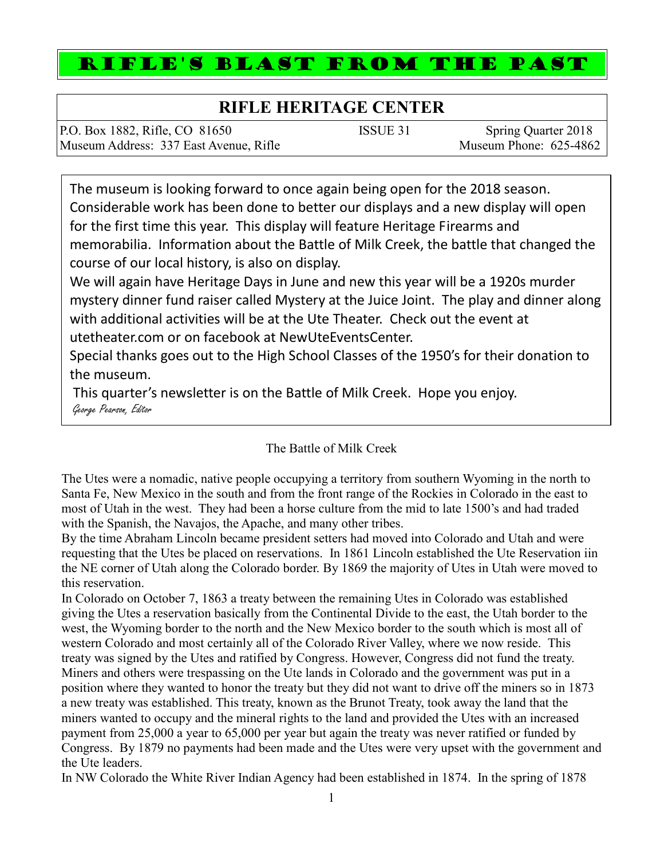## RIFLE'S BLAST FROM THE PAST

## **RIFLE HERITAGE CENTER**

| P.O. Box 1882, Rifle, CO 81650         | ISSUE 31 | Spring Quarter 2018    |
|----------------------------------------|----------|------------------------|
| Museum Address: 337 East Avenue, Rifle |          | Museum Phone: 625-4862 |

The museum is looking forward to once again being open for the 2018 season. Considerable work has been done to better our displays and a new display will open for the first time this year. This display will feature Heritage Firearms and memorabilia. Information about the Battle of Milk Creek, the battle that changed the course of our local history, is also on display.

We will again have Heritage Days in June and new this year will be a 1920s murder mystery dinner fund raiser called Mystery at the Juice Joint. The play and dinner along with additional activities will be at the Ute Theater. Check out the event at utetheater.com or on facebook at NewUteEventsCenter.

Special thanks goes out to the High School Classes of the 1950's for their donation to the museum.

This quarter's newsletter is on the Battle of Milk Creek. Hope you enjoy. George Pearson, Editor

## The Battle of Milk Creek

The Utes were a nomadic, native people occupying a territory from southern Wyoming in the north to Santa Fe, New Mexico in the south and from the front range of the Rockies in Colorado in the east to most of Utah in the west. They had been a horse culture from the mid to late 1500's and had traded with the Spanish, the Navajos, the Apache, and many other tribes.

By the time Abraham Lincoln became president setters had moved into Colorado and Utah and were requesting that the Utes be placed on reservations. In 1861 Lincoln established the Ute Reservation iin the NE corner of Utah along the Colorado border. By 1869 the majority of Utes in Utah were moved to this reservation.

In Colorado on October 7, 1863 a treaty between the remaining Utes in Colorado was established giving the Utes a reservation basically from the Continental Divide to the east, the Utah border to the west, the Wyoming border to the north and the New Mexico border to the south which is most all of western Colorado and most certainly all of the Colorado River Valley, where we now reside. This treaty was signed by the Utes and ratified by Congress. However, Congress did not fund the treaty. Miners and others were trespassing on the Ute lands in Colorado and the government was put in a position where they wanted to honor the treaty but they did not want to drive off the miners so in 1873 a new treaty was established. This treaty, known as the Brunot Treaty, took away the land that the miners wanted to occupy and the mineral rights to the land and provided the Utes with an increased payment from 25,000 a year to 65,000 per year but again the treaty was never ratified or funded by Congress. By 1879 no payments had been made and the Utes were very upset with the government and the Ute leaders.

In NW Colorado the White River Indian Agency had been established in 1874. In the spring of 1878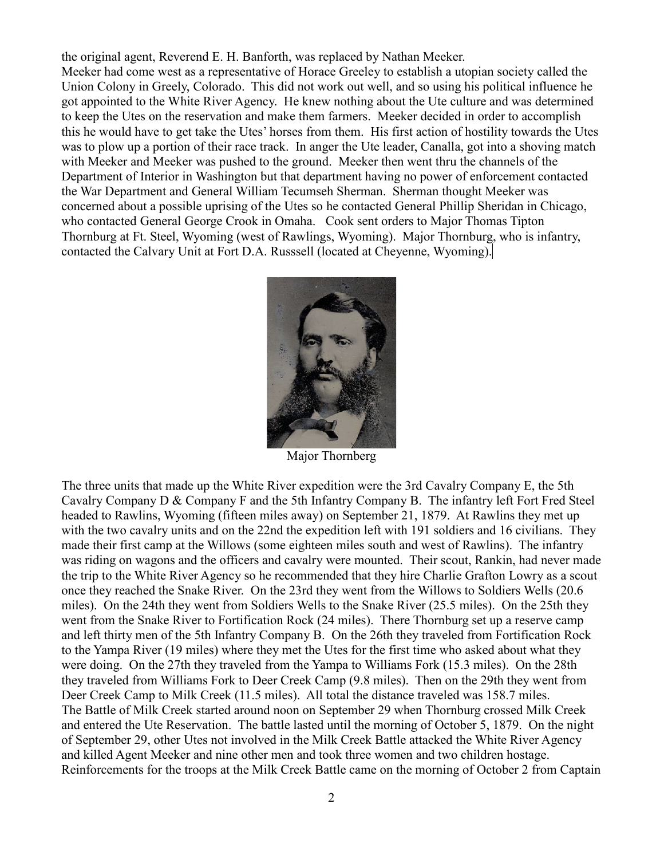the original agent, Reverend E. H. Banforth, was replaced by Nathan Meeker. Meeker had come west as a representative of Horace Greeley to establish a utopian society called the Union Colony in Greely, Colorado. This did not work out well, and so using his political influence he got appointed to the White River Agency. He knew nothing about the Ute culture and was determined to keep the Utes on the reservation and make them farmers. Meeker decided in order to accomplish this he would have to get take the Utes' horses from them. His first action of hostility towards the Utes was to plow up a portion of their race track. In anger the Ute leader, Canalla, got into a shoving match with Meeker and Meeker was pushed to the ground. Meeker then went thru the channels of the Department of Interior in Washington but that department having no power of enforcement contacted the War Department and General William Tecumseh Sherman. Sherman thought Meeker was concerned about a possible uprising of the Utes so he contacted General Phillip Sheridan in Chicago, who contacted General George Crook in Omaha. Cook sent orders to Major Thomas Tipton Thornburg at Ft. Steel, Wyoming (west of Rawlings, Wyoming). Major Thornburg, who is infantry, contacted the Calvary Unit at Fort D.A. Russsell (located at Cheyenne, Wyoming).



Major Thornberg

The three units that made up the White River expedition were the 3rd Cavalry Company E, the 5th Cavalry Company D & Company F and the 5th Infantry Company B. The infantry left Fort Fred Steel headed to Rawlins, Wyoming (fifteen miles away) on September 21, 1879. At Rawlins they met up with the two cavalry units and on the 22nd the expedition left with 191 soldiers and 16 civilians. They made their first camp at the Willows (some eighteen miles south and west of Rawlins). The infantry was riding on wagons and the officers and cavalry were mounted. Their scout, Rankin, had never made the trip to the White River Agency so he recommended that they hire Charlie Grafton Lowry as a scout once they reached the Snake River. On the 23rd they went from the Willows to Soldiers Wells (20.6 miles). On the 24th they went from Soldiers Wells to the Snake River (25.5 miles). On the 25th they went from the Snake River to Fortification Rock (24 miles). There Thornburg set up a reserve camp and left thirty men of the 5th Infantry Company B. On the 26th they traveled from Fortification Rock to the Yampa River (19 miles) where they met the Utes for the first time who asked about what they were doing. On the 27th they traveled from the Yampa to Williams Fork (15.3 miles). On the 28th they traveled from Williams Fork to Deer Creek Camp (9.8 miles). Then on the 29th they went from Deer Creek Camp to Milk Creek (11.5 miles). All total the distance traveled was 158.7 miles. The Battle of Milk Creek started around noon on September 29 when Thornburg crossed Milk Creek and entered the Ute Reservation. The battle lasted until the morning of October 5, 1879. On the night of September 29, other Utes not involved in the Milk Creek Battle attacked the White River Agency and killed Agent Meeker and nine other men and took three women and two children hostage. Reinforcements for the troops at the Milk Creek Battle came on the morning of October 2 from Captain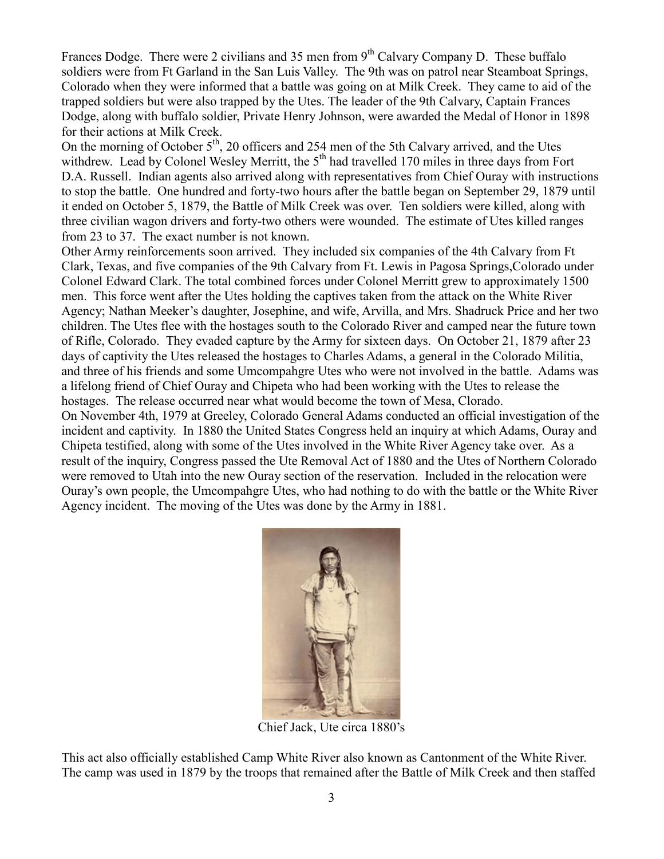Frances Dodge. There were 2 civilians and 35 men from  $9<sup>th</sup>$  Calvary Company D. These buffalo soldiers were from Ft Garland in the San Luis Valley. The 9th was on patrol near Steamboat Springs, Colorado when they were informed that a battle was going on at Milk Creek. They came to aid of the trapped soldiers but were also trapped by the Utes. The leader of the 9th Calvary, Captain Frances Dodge, along with buffalo soldier, Private Henry Johnson, were awarded the Medal of Honor in 1898 for their actions at Milk Creek.

On the morning of October  $5<sup>th</sup>$ , 20 officers and 254 men of the 5th Calvary arrived, and the Utes withdrew. Lead by Colonel Wesley Merritt, the 5<sup>th</sup> had travelled 170 miles in three days from Fort D.A. Russell. Indian agents also arrived along with representatives from Chief Ouray with instructions to stop the battle. One hundred and forty-two hours after the battle began on September 29, 1879 until it ended on October 5, 1879, the Battle of Milk Creek was over. Ten soldiers were killed, along with three civilian wagon drivers and forty-two others were wounded. The estimate of Utes killed ranges from 23 to 37. The exact number is not known.

Other Army reinforcements soon arrived. They included six companies of the 4th Calvary from Ft Clark, Texas, and five companies of the 9th Calvary from Ft. Lewis in Pagosa Springs,Colorado under Colonel Edward Clark. The total combined forces under Colonel Merritt grew to approximately 1500 men. This force went after the Utes holding the captives taken from the attack on the White River Agency; Nathan Meeker's daughter, Josephine, and wife, Arvilla, and Mrs. Shadruck Price and her two children. The Utes flee with the hostages south to the Colorado River and camped near the future town of Rifle, Colorado. They evaded capture by the Army for sixteen days. On October 21, 1879 after 23 days of captivity the Utes released the hostages to Charles Adams, a general in the Colorado Militia, and three of his friends and some Umcompahgre Utes who were not involved in the battle. Adams was a lifelong friend of Chief Ouray and Chipeta who had been working with the Utes to release the hostages. The release occurred near what would become the town of Mesa, Clorado.

On November 4th, 1979 at Greeley, Colorado General Adams conducted an official investigation of the incident and captivity. In 1880 the United States Congress held an inquiry at which Adams, Ouray and Chipeta testified, along with some of the Utes involved in the White River Agency take over. As a result of the inquiry, Congress passed the Ute Removal Act of 1880 and the Utes of Northern Colorado were removed to Utah into the new Ouray section of the reservation. Included in the relocation were Ouray's own people, the Umcompahgre Utes, who had nothing to do with the battle or the White River Agency incident. The moving of the Utes was done by the Army in 1881.



Chief Jack, Ute circa 1880's

This act also officially established Camp White River also known as Cantonment of the White River. The camp was used in 1879 by the troops that remained after the Battle of Milk Creek and then staffed